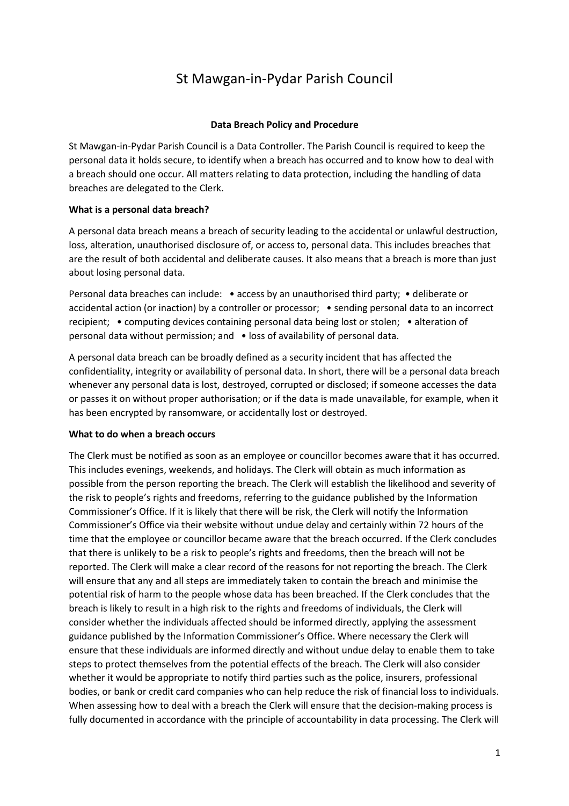# St Mawgan-in-Pydar Parish Council

## **Data Breach Policy and Procedure**

St Mawgan-in-Pydar Parish Council is a Data Controller. The Parish Council is required to keep the personal data it holds secure, to identify when a breach has occurred and to know how to deal with a breach should one occur. All matters relating to data protection, including the handling of data breaches are delegated to the Clerk.

## **What is a personal data breach?**

A personal data breach means a breach of security leading to the accidental or unlawful destruction, loss, alteration, unauthorised disclosure of, or access to, personal data. This includes breaches that are the result of both accidental and deliberate causes. It also means that a breach is more than just about losing personal data.

Personal data breaches can include: • access by an unauthorised third party; • deliberate or accidental action (or inaction) by a controller or processor; • sending personal data to an incorrect recipient; • computing devices containing personal data being lost or stolen; • alteration of personal data without permission; and • loss of availability of personal data.

A personal data breach can be broadly defined as a security incident that has affected the confidentiality, integrity or availability of personal data. In short, there will be a personal data breach whenever any personal data is lost, destroyed, corrupted or disclosed; if someone accesses the data or passes it on without proper authorisation; or if the data is made unavailable, for example, when it has been encrypted by ransomware, or accidentally lost or destroyed.

#### **What to do when a breach occurs**

The Clerk must be notified as soon as an employee or councillor becomes aware that it has occurred. This includes evenings, weekends, and holidays. The Clerk will obtain as much information as possible from the person reporting the breach. The Clerk will establish the likelihood and severity of the risk to people's rights and freedoms, referring to the guidance published by the Information Commissioner's Office. If it is likely that there will be risk, the Clerk will notify the Information Commissioner's Office via their website without undue delay and certainly within 72 hours of the time that the employee or councillor became aware that the breach occurred. If the Clerk concludes that there is unlikely to be a risk to people's rights and freedoms, then the breach will not be reported. The Clerk will make a clear record of the reasons for not reporting the breach. The Clerk will ensure that any and all steps are immediately taken to contain the breach and minimise the potential risk of harm to the people whose data has been breached. If the Clerk concludes that the breach is likely to result in a high risk to the rights and freedoms of individuals, the Clerk will consider whether the individuals affected should be informed directly, applying the assessment guidance published by the Information Commissioner's Office. Where necessary the Clerk will ensure that these individuals are informed directly and without undue delay to enable them to take steps to protect themselves from the potential effects of the breach. The Clerk will also consider whether it would be appropriate to notify third parties such as the police, insurers, professional bodies, or bank or credit card companies who can help reduce the risk of financial loss to individuals. When assessing how to deal with a breach the Clerk will ensure that the decision-making process is fully documented in accordance with the principle of accountability in data processing. The Clerk will